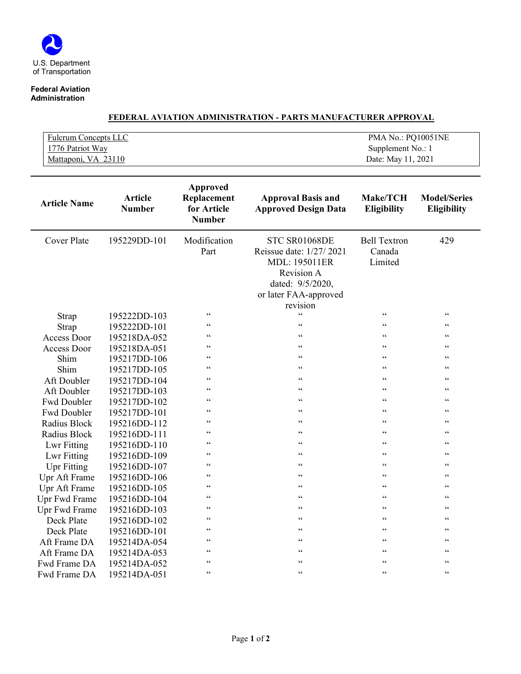## **Federal Aviation Administration**

| <b>Fulcrum Concepts LLC</b> | PMA No.: PO10051NE |
|-----------------------------|--------------------|
| 1776 Patriot Way            | Supplement No.: 1  |
| Mattaponi, VA 23110         | Date: May 11, 2021 |

| <b>Article Name</b> | <b>Article</b><br><b>Number</b> | Approved<br>Replacement<br>for Article<br><b>Number</b> | <b>Approval Basis and</b><br><b>Approved Design Data</b>                                                                                | <b>Make/TCH</b><br><b>Eligibility</b>    | <b>Model/Series</b><br><b>Eligibility</b> |
|---------------------|---------------------------------|---------------------------------------------------------|-----------------------------------------------------------------------------------------------------------------------------------------|------------------------------------------|-------------------------------------------|
| <b>Cover Plate</b>  | 195229DD-101                    | Modification<br>Part                                    | STC SR01068DE<br>Reissue date: 1/27/2021<br><b>MDL: 195011ER</b><br>Revision A<br>dated: 9/5/2020,<br>or later FAA-approved<br>revision | <b>Bell Textron</b><br>Canada<br>Limited | 429                                       |
| Strap               | 195222DD-103                    | $\zeta \, \zeta$                                        | $\zeta$ $\zeta$                                                                                                                         | 66                                       | $\mbox{\bf 6}$ $\mbox{\bf 6}$             |
| Strap               | 195222DD-101                    | 66                                                      | 66                                                                                                                                      | $\epsilon$                               | $\zeta$ $\zeta$                           |
| <b>Access Door</b>  | 195218DA-052                    | 66                                                      | $\zeta$ $\zeta$                                                                                                                         | 66                                       | $\mbox{\bf 6}$ $\mbox{\bf 6}$             |
| Access Door         | 195218DA-051                    | 66                                                      | $\zeta \, \zeta$                                                                                                                        | 66                                       | $\zeta\,\zeta$                            |
| Shim                | 195217DD-106                    | 66                                                      | $\leq$ $\leq$                                                                                                                           | $\epsilon$                               | $\zeta\,\zeta$                            |
| Shim                | 195217DD-105                    | $\zeta$ $\zeta$                                         | $\zeta$ $\zeta$                                                                                                                         | $\epsilon$                               | $\leq$ $\leq$                             |
| Aft Doubler         | 195217DD-104                    | 66                                                      | $\leq$ $\leq$                                                                                                                           | 66                                       | $\zeta\,\zeta$                            |
| Aft Doubler         | 195217DD-103                    | 66                                                      | 66                                                                                                                                      | $\epsilon$                               | $\zeta\,\zeta$                            |
| Fwd Doubler         | 195217DD-102                    | 66                                                      | $\zeta$ $\zeta$                                                                                                                         | $\epsilon$                               | $\mbox{\bf 6}$ $\mbox{\bf 6}$             |
| Fwd Doubler         | 195217DD-101                    | $\zeta \, \zeta$                                        | $\zeta \, \zeta$                                                                                                                        | $\epsilon$                               | $\zeta\,\zeta$                            |
| Radius Block        | 195216DD-112                    | 66                                                      | 66                                                                                                                                      | 66                                       | $\zeta\,\zeta$                            |
| Radius Block        | 195216DD-111                    | 66                                                      | $\mbox{\bf 6}$                                                                                                                          | $\epsilon$                               | $\mbox{\bf 6}$ $\mbox{\bf 6}$             |
| Lwr Fitting         | 195216DD-110                    | 66                                                      | $\leq$ $\leq$                                                                                                                           | 66                                       | $\zeta\,\zeta$                            |
| Lwr Fitting         | 195216DD-109                    | 66                                                      | 66                                                                                                                                      | 66                                       | $\zeta\,\zeta$                            |
| <b>Upr Fitting</b>  | 195216DD-107                    | 66                                                      | $\zeta$ $\zeta$                                                                                                                         | $\epsilon$                               | $\mbox{\bf 6}$ $\mbox{\bf 6}$             |
| Upr Aft Frame       | 195216DD-106                    | 66                                                      | $\leq$ $\leq$                                                                                                                           | 66                                       | $\zeta\,\zeta$                            |
| Upr Aft Frame       | 195216DD-105                    | 66                                                      | $\leq$ $\leq$                                                                                                                           | 66                                       | $\leq$ $\leq$                             |
| Upr Fwd Frame       | 195216DD-104                    | 66                                                      | $\zeta$ $\zeta$                                                                                                                         | $\epsilon$                               | $\zeta\zeta$                              |
| Upr Fwd Frame       | 195216DD-103                    | 66                                                      | $\leq$ $\leq$                                                                                                                           | 66                                       | $\mbox{\bf 6}$ $\mbox{\bf 6}$             |
| Deck Plate          | 195216DD-102                    | 66                                                      | $\leq$ $\leq$                                                                                                                           | 66                                       | $\leq$ $\leq$                             |
| Deck Plate          | 195216DD-101                    | 66                                                      | $\leq$ $\leq$                                                                                                                           | $\epsilon$                               | $\zeta\,\zeta$                            |
| Aft Frame DA        | 195214DA-054                    | 66                                                      | $\mbox{\bf 6}$                                                                                                                          | 66                                       | $\mbox{\bf 6}$ $\mbox{\bf 6}$             |
| Aft Frame DA        | 195214DA-053                    | 66                                                      | $\leq$ $\leq$                                                                                                                           | 66                                       | $\leq$ $\leq$                             |
| Fwd Frame DA        | 195214DA-052                    | $\zeta$ $\zeta$                                         | $\mbox{\bf 6}$                                                                                                                          | 66                                       | $\mbox{\bf 6}$ $\mbox{\bf 6}$             |
| Fwd Frame DA        | 195214DA-051                    | 66                                                      | $\leq$ $\leq$                                                                                                                           | $\epsilon$                               | $\mbox{\bf 6}$ $\mbox{\bf 6}$             |

## **FEDERAL AVIATION ADMINISTRATION - PARTS MANUFACTURER APPROVAL**